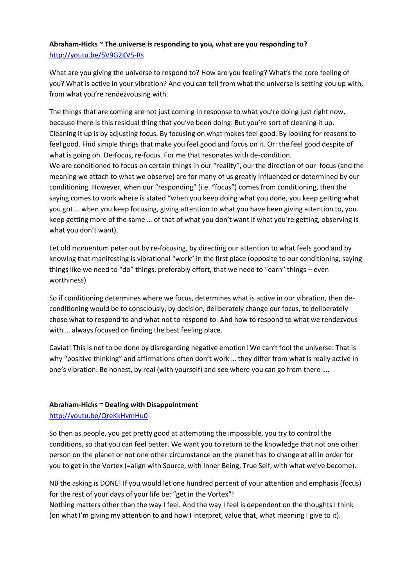## **Abraham-Hicks ~ The universe is responding to you, what are you responding to?** <http://youtu.be/5V9G2KV5-Rs>

What are you giving the universe to respond to? How are you feeling? What's the core feeling of you? What is active in your vibration? And you can tell from what the universe is setting you up with, from what you're rendezvousing with.

The things that are coming are not just coming in response to what you're doing just right now, because there is this residual thing that you've been doing. But you're sort of cleaning it up. Cleaning it up is by adjusting focus. By focusing on what makes feel good. By looking for reasons to feel good. Find simple things that make you feel good and focus on it. Or: the feel good despite of what is going on. De-focus, re-focus. For me that resonates with de-condition. We are conditioned to focus on certain things in our "reality", our the direction of our focus (and the meaning we attach to what we observe) are for many of us greatly influenced or determined by our conditioning. However, when our "responding" (i.e. "focus") comes from conditioning, then the saying comes to work where is stated "when you keep doing what you done, you keep getting what you got … when you keep focusing, giving attention to what you have been giving attention to, you keep getting more of the same … of that of what you don't want if what you're getting, observing is

what you don't want).

Let old momentum peter out by re-focusing, by directing our attention to what feels good and by knowing that manifesting is vibrational "work" in the first place (opposite to our conditioning, saying things like we need to "do" things, preferably effort, that we need to "earn" things – even worthiness)

So if conditioning determines where we focus, determines what is active in our vibration, then deconditioning would be to consciously, by decision, deliberately change our focus, to deliberately chose what to respond to and what not to respond to. And how to respond to what we rendezvous with … always focused on finding the best feeling place.

Caviat! This is not to be done by disregarding negative emotion! We can't fool the universe. That is why "positive thinking" and affirmations often don't work … they differ from what is really active in one's vibration. Be honest, by real (with yourself) and see where you can go from there ….

## **Abraham-Hicks ~ Dealing with Disappointment**

<http://youtu.be/QreKkHvmHu0>

So then as people, you get pretty good at attempting the impossible, you try to control the conditions, so that you can feel better. We want you to return to the knowledge that not one other person on the planet or not one other circumstance on the planet has to change at all in order for you to get in the Vortex (=align with Source, with Inner Being, True Self, with what we've become).

NB the asking is DONE! If you would let one hundred percent of your attention and emphasis (focus) for the rest of your days of your life be: "get in the Vortex"!

Nothing matters other than the way I feel. And the way I feel is dependent on the thoughts I think (on what I'm giving my attention to and how I interpret, value that, what meaning I give to it).